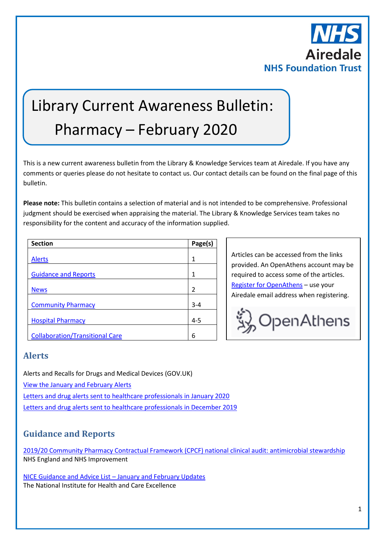

# Library Current Awareness Bulletin: Pharmacy – February 2020

This is a new current awareness bulletin from the Library & Knowledge Services team at Airedale. If you have any comments or queries please do not hesitate to contact us. Our contact details can be found on the final page of this bulletin.

**Please note:** This bulletin contains a selection of material and is not intended to be comprehensive. Professional judgment should be exercised when appraising the material. The Library & Knowledge Services team takes no responsibility for the content and accuracy of the information supplied.

| <b>Section</b>                         | Page(s)        |
|----------------------------------------|----------------|
|                                        |                |
| <b>Alerts</b>                          | 1              |
| <b>Guidance and Reports</b>            |                |
| <b>News</b>                            | $\mathfrak{p}$ |
| <b>Community Pharmacy</b>              | $3 - 4$        |
| <b>Hospital Pharmacy</b>               | $4 - 5$        |
| <b>Collaboration/Transitional Care</b> | 6              |

Articles can be accessed from the links provided. An OpenAthens account may be required to access some of the articles. [Register for OpenAthens](https://openathens.nice.org.uk/) – use your Airedale email address when registering.



## <span id="page-0-0"></span>**Alerts**

Alerts and Recalls for Drugs and Medical Devices (GOV.UK)

[View the January and February Alerts](https://www.gov.uk/drug-device-alerts?issued_date%5Bfrom%5D=31%2F12%2F2019)

[Letters and drug alerts sent to healthcare professionals in January 2020](https://www.gov.uk/drug-safety-update/letters-and-drug-alerts-sent-to-healthcare-professionals-in-january-2020)

[Letters and drug alerts sent to healthcare professionals in December 2019](https://www.gov.uk/drug-safety-update/letters-and-drug-alerts-sent-to-healthcare-professionals-in-december-2019)

## <span id="page-0-1"></span>**Guidance and Reports**

[2019/20 Community Pharmacy Contractual Framework \(CPCF\) national clinical audit: antimicrobial stewardship](https://www.england.nhs.uk/publication/2019-20-community-pharmacy-contractual-framework-cpcf-national-clinical-audit-antimicrobial-stewardship/) NHS England and NHS Improvement

[NICE Guidance and Advice List](https://www.nice.org.uk/guidance/published?fromdate=January%202020&todate=February%202020) – January and February Updates The National Institute for Health and Care Excellence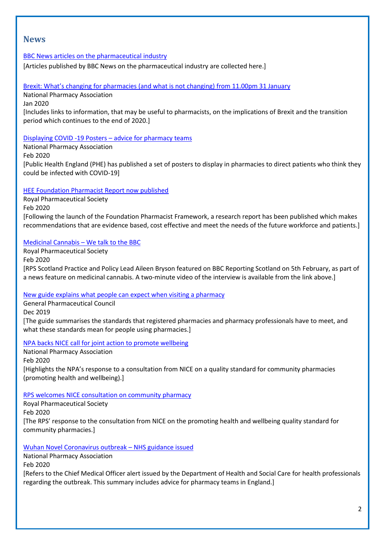## <span id="page-1-0"></span>**News**

### [BBC News articles on the pharmaceutical industry](https://www.bbc.co.uk/news/topics/cg1lkvgedv8t/pharmaceutical-industry)

[Articles published by BBC News on the pharmaceutical industry are collected here.]

[Brexit: What's changing for pharmacies \(and what is not changing\) from 11.00pm 31 January](https://www.npa.co.uk/news-and-events/news-item/brexit-whats-changing-for-pharmacies-and-what-is-not-changing-from-11-00pm-31-january/)

National Pharmacy Association

Jan 2020

[Includes links to information, that may be useful to pharmacists, on the implications of Brexit and the transition period which continues to the end of 2020.]

[Displaying COVID -19 Posters](https://www.npa.co.uk/news-and-events/news-item/displaying-covid-19-posters-advice-for-pharmacy-teams/) – advice for pharmacy teams

National Pharmacy Association Feb 2020 [Public Health England (PHE) has published a set of posters to display in pharmacies to direct patients who think they could be infected with COVID-19]

[HEE Foundation Pharmacist Report now published](https://www.rpharms.com/about-us/news/details/hee-foundation-pharmacist-report-now-published)

Royal Pharmaceutical Society Feb 2020 [Following the launch of the Foundation Pharmacist Framework, a research report has been published which makes recommendations that are evidence based, cost effective and meet the needs of the future workforce and patients.]

### [Medicinal Cannabis](https://www.rpharms.com/about-us/news/details/medicinal-cannabis---we-talk-to-the-bbc) – We talk to the BBC

Royal Pharmaceutical Society Feb 2020 [RPS Scotland Practice and Policy Lead Aileen Bryson featured on BBC Reporting Scotland on 5th February, as part of a news feature on medicinal cannabis. A two-minute video of the interview is available from the link above.]

[New guide explains what people can expect when visiting a pharmacy](https://www.pharmacyregulation.org/news/new-guide-explains-what-people-can-expect-when-visiting-pharmacy)

General Pharmaceutical Council Dec 2019 [The guide summarises the standards that registered pharmacies and pharmacy professionals have to meet, and what these standards mean for people using pharmacies.]

[NPA backs NICE call for joint action to promote wellbeing](https://www.npa.co.uk/news-and-events/news-item/npa-backs-nice-call-for-joint-action-to-promote-wellbeing/)

National Pharmacy Association Feb 2020 [Highlights the NPA's response to a consultation from NICE on a quality standard for community pharmacies (promoting health and wellbeing).]

## [RPS welcomes NICE consultation on community pharmacy](https://www.rpharms.com/about-us/news/details/rps-welcomes-nice-consultation-on-community-pharmacy)

Royal Pharmaceutical Society Feb 2020 [The RPS' response to the consultation from NICE on the promoting health and wellbeing quality standard for community pharmacies.]

[Wuhan Novel Coronavirus outbreak](https://www.npa.co.uk/news-and-events/news-item/wuhan-novel-coronavirus-outbreak-nhs-guidance-issued/) – NHS guidance issued

National Pharmacy Association

Feb 2020

[Refers to the Chief Medical Officer alert issued by the Department of Health and Social Care for health professionals regarding the outbreak. This summary includes advice for pharmacy teams in England.]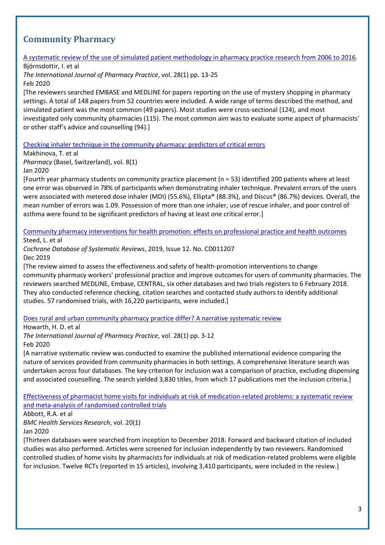## <span id="page-2-0"></span>**Community Pharmacy**

[A systematic review of the use of simulated patient methodology in pharmacy practice research from 2006 to 2016.](https://onlinelibrary.wiley.com/doi/pdfdirect/10.1111/ijpp.12570)

Björnsdottir, I. et al

*The International Journal of Pharmacy Practice*, vol. 28(1) pp. 13-25 Feb 2020

[The reviewers searched EMBASE and MEDLINE for papers reporting on the use of mystery shopping in pharmacy settings. A total of 148 papers from 52 countries were included. A wide range of terms described the method, and simulated patient was the most common (49 papers). Most studies were cross-sectional (124), and most investigated only community pharmacies (115). The most common aim was to evaluate some aspect of pharmacists' or other staff's advice and counselling (94).]

[Checking inhaler technique in the community pharmacy: predictors of critical errors](https://www.mdpi.com/2226-4787/8/1/6)

Makhinova, T. et al

*Pharmacy* (Basel, Switzerland), vol. 8(1)

Jan 2020

[Fourth year pharmacy students on community practice placement (n = 53) identified 200 patients where at least one error was observed in 78% of participants when demonstrating inhaler technique. Prevalent errors of the users were associated with metered dose inhaler (MDI) (55.6%), Ellipta® (88.3%), and Discus® (86.7%) devices. Overall, the mean number of errors was 1.09. Possession of more than one inhaler, use of rescue inhaler, and poor control of asthma were found to be significant predictors of having at least one critical error.]

[Community pharmacy interventions for health promotion: effects on professional practice and health outcomes](https://www.cochranelibrary.com/cdsr/doi/10.1002/14651858.CD011207.pub2/full?highlightAbstract=pharmacy%7Cpharmaci%7Cwithdrawn) Steed, L. et al

*Cochrane Database of Systematic Reviews*, 2019, Issue 12. No. CD011207 Dec 2019

[The review aimed to assess the effectiveness and safety of health‐promotion interventions to change community pharmacy workers' professional practice and improve outcomes for users of community pharmacies. The reviewers searched MEDLINE, Embase, CENTRAL, six other databases and two trials registers to 6 February 2018. They also conducted reference checking, citation searches and contacted study authors to identify additional studies. 57 randomised trials, with 16,220 participants, were included.]

[Does rural and urban community pharmacy practice differ? A narrative systematic review](https://onlinelibrary.wiley.com/doi/pdfdirect/10.1111/ijpp.12567)

Howarth, H. D. et al

*The International Journal of Pharmacy Practice*, vol. 28(1) pp. 3-12

Feb 2020

[A narrative systematic review was conducted to examine the published international evidence comparing the nature of services provided from community pharmacies in both settings. A comprehensive literature search was undertaken across four databases. The key criterion for inclusion was a comparison of practice, excluding dispensing and associated counselling. The search yielded 3,830 titles, from which 17 publications met the inclusion criteria.]

[Effectiveness of pharmacist home visits for individuals at risk of medication-related problems: a systematic review](https://bmchealthservres.biomedcentral.com/articles/10.1186/s12913-019-4728-3)  [and meta-analysis of randomised controlled trials](https://bmchealthservres.biomedcentral.com/articles/10.1186/s12913-019-4728-3)

Abbott, R.A. et al

*BMC Health Services Research*, vol. 20(1)

Jan 2020

[Thirteen databases were searched from inception to December 2018. Forward and backward citation of included studies was also performed. Articles were screened for inclusion independently by two reviewers. Randomised controlled studies of home visits by pharmacists for individuals at risk of medication-related problems were eligible for inclusion. Twelve RCTs (reported in 15 articles), involving 3,410 participants, were included in the review.]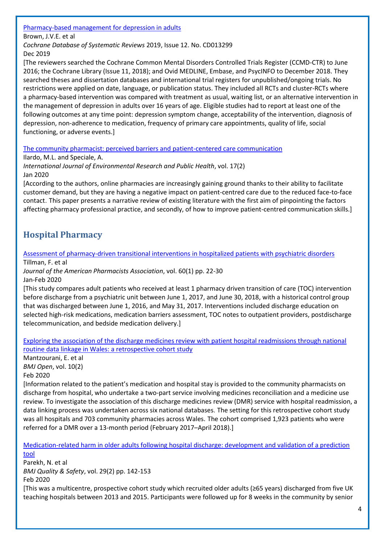[Pharmacy-based management for depression in adults](https://www.cochranelibrary.com/cdsr/doi/10.1002/14651858.CD013299.pub2/full?highlightAbstract=pharmacy%7Cpharmaci%7Cwithdrawn)

Brown, J.V.E. et al

*Cochrane Database of Systematic Reviews* 2019, Issue 12. No. CD013299 Dec 2019

[The reviewers searched the Cochrane Common Mental Disorders Controlled Trials Register (CCMD‐CTR) to June 2016; the Cochrane Library (Issue 11, 2018); and Ovid MEDLINE, Embase, and PsycINFO to December 2018. They searched theses and dissertation databases and international trial registers for unpublished/ongoing trials. No restrictions were applied on date, language, or publication status. They included all RCTs and cluster‐RCTs where a pharmacy‐based intervention was compared with treatment as usual, waiting list, or an alternative intervention in the management of depression in adults over 16 years of age. Eligible studies had to report at least one of the following outcomes at any time point: depression symptom change, acceptability of the intervention, diagnosis of depression, non‐adherence to medication, frequency of primary care appointments, quality of life, social functioning, or adverse events.]

[The community pharmacist: perceived barriers and patient-centered care communication](https://www.mdpi.com/1660-4601/17/2/536)

Ilardo, M.L. and Speciale, A.

*International Journal of Environmental Research and Public Health*, vol. 17(2) Jan 2020

[According to the authors, online pharmacies are increasingly gaining ground thanks to their ability to facilitate customer demand, but they are having a negative impact on patient-centred care due to the reduced face-to-face contact. This paper presents a narrative review of existing literature with the first aim of pinpointing the factors affecting pharmacy professional practice, and secondly, of how to improve patient-centred communication skills.]

# <span id="page-3-0"></span>**Hospital Pharmacy**

[Assessment of pharmacy-driven transitional interventions in hospitalized patients with psychiatric disorders](https://www.japha.org/article/S1544-3191(19)30486-8/pdf) Tillman, F. et al

*Journal of the American Pharmacists Association*, vol. 60(1) pp. 22-30 Jan-Feb 2020

[This study compares adult patients who received at least 1 pharmacy driven transition of care (TOC) intervention before discharge from a psychiatric unit between June 1, 2017, and June 30, 2018, with a historical control group that was discharged between June 1, 2016, and May 31, 2017. Interventions included discharge education on selected high-risk medications, medication barriers assessment, TOC notes to outpatient providers, postdischarge telecommunication, and bedside medication delivery.]

[Exploring the association of the discharge medicines review with patient hospital readmissions through national](https://bmjopen.bmj.com/content/10/2/e033551)  routine [data linkage in Wales: a retrospective cohort study](https://bmjopen.bmj.com/content/10/2/e033551)

Mantzourani, E. et al

*BMJ Open*, vol. 10(2)

Feb 2020

[Information related to the patient's medication and hospital stay is provided to the community pharmacists on discharge from hospital, who undertake a two-part service involving medicines reconciliation and a medicine use review. To investigate the association of this discharge medicines review (DMR) service with hospital readmission, a data linking process was undertaken across six national databases. The setting for this retrospective cohort study was all hospitals and 703 community pharmacies across Wales. The cohort comprised 1,923 patients who were referred for a DMR over a 13-month period (February 2017–April 2018).]

[Medication-related harm in older adults following hospital discharge: development and validation of a prediction](https://qualitysafety.bmj.com/content/qhc/29/2/142.full.pdf)  [tool](https://qualitysafety.bmj.com/content/qhc/29/2/142.full.pdf)

Parekh, N. et al *BMJ Quality & Safety*, vol. 29(2) pp. 142-153 Feb 2020 [This was a multicentre, prospective cohort study which recruited older adults (≥65 years) discharged from five UK teaching hospitals between 2013 and 2015. Participants were followed up for 8 weeks in the community by senior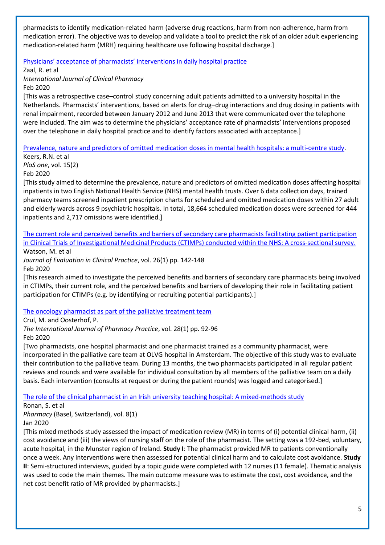pharmacists to identify medication-related harm (adverse drug reactions, harm from non-adherence, harm from medication error). The objective was to develop and validate a tool to predict the risk of an older adult experiencing medication-related harm (MRH) requiring healthcare use following hospital discharge.]

[Physicians' acceptance of pharmacists' interventions in daily hospital practice](https://link.springer.com/content/pdf/10.1007/s11096-020-00970-0.pdf)

Zaal, R. et al

*International Journal of Clinical Pharmacy* Feb 2020

[This was a retrospective case–control study concerning adult patients admitted to a university hospital in the Netherlands. Pharmacists' interventions, based on alerts for drug–drug interactions and drug dosing in patients with renal impairment, recorded between January 2012 and June 2013 that were communicated over the telephone were included. The aim was to determine the physicians' acceptance rate of pharmacists' interventions proposed over the telephone in daily hospital practice and to identify factors associated with acceptance.]

[Prevalence, nature and predictors of omitted medication doses in mental health hospitals: a multi-centre study.](https://journals.plos.org/plosone/article/file?id=10.1371/journal.pone.0228868&type=printable)

Keers, R.N. et al *PloS one*, vol. 15(2) Feb 2020

[This study aimed to determine the prevalence, nature and predictors of omitted medication doses affecting hospital inpatients in two English National Health Service (NHS) mental health trusts. Over 6 data collection days, trained pharmacy teams screened inpatient prescription charts for scheduled and omitted medication doses within 27 adult and elderly wards across 9 psychiatric hospitals. In total, 18,664 scheduled medication doses were screened for 444 inpatients and 2,717 omissions were identified.]

#### [The current role and perceived benefits and barriers of secondary care pharmacists facilitating patient participation](http://eprints.whiterose.ac.uk/141619/)  [in Clinical Trials of Investigational Medicinal Products \(CTIMPs\) conducted within the NHS: A cross-sectional survey.](http://eprints.whiterose.ac.uk/141619/) Watson, M. et al

*Journal of Evaluation in Clinical Practice*, vol. 26(1) pp. 142-148 Feb 2020

[This research aimed to investigate the perceived benefits and barriers of secondary care pharmacists being involved in CTIMPs, their current role, and the perceived benefits and barriers of developing their role in facilitating patient participation for CTIMPs (e.g. by identifying or recruiting potential participants).]

## [The oncology pharmacist as part of the palliative treatment team](https://onlinelibrary.wiley.com/doi/pdfdirect/10.1111/ijpp.12583)

Crul, M. and Oosterhof, P.

*The International Journal of Pharmacy Practice*, vol. 28(1) pp. 92-96 Feb 2020

[Two pharmacists, one hospital pharmacist and one pharmacist trained as a community pharmacist, were incorporated in the palliative care team at OLVG hospital in Amsterdam. The objective of this study was to evaluate their contribution to the palliative team. During 13 months, the two pharmacists participated in all regular patient reviews and rounds and were available for individual consultation by all members of the palliative team on a daily basis. Each intervention (consults at request or during the patient rounds) was logged and categorised.]

[The role of the clinical pharmacist in an Irish university teaching hospital: A mixed-methods study](https://www.mdpi.com/2226-4787/8/1/14)

Ronan, S. et al

*Pharmacy* (Basel, Switzerland), vol. 8(1)

Jan 2020

[This mixed methods study assessed the impact of medication review (MR) in terms of (i) potential clinical harm, (ii) cost avoidance and (iii) the views of nursing staff on the role of the pharmacist. The setting was a 192-bed, voluntary, acute hospital, in the Munster region of Ireland. **Study I**: The pharmacist provided MR to patients conventionally once a week. Any interventions were then assessed for potential clinical harm and to calculate cost avoidance. **Study II**: Semi-structured interviews, guided by a topic guide were completed with 12 nurses (11 female). Thematic analysis was used to code the main themes. The main outcome measure was to estimate the cost, cost avoidance, and the net cost benefit ratio of MR provided by pharmacists.]